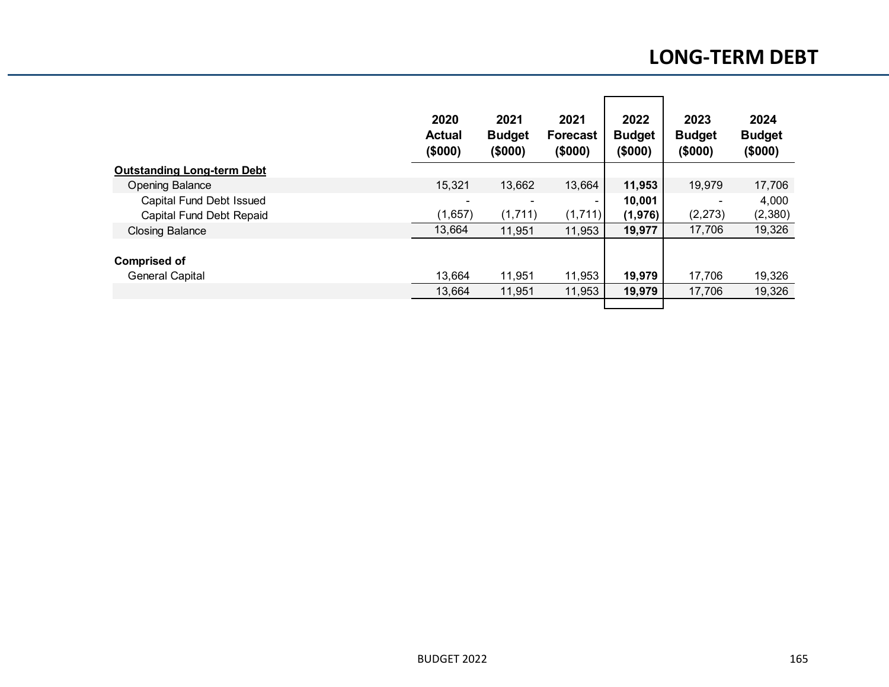|                                   | 2020<br><b>Actual</b><br>(\$000) | 2021<br><b>Budget</b><br>(\$000) | 2021<br><b>Forecast</b><br>(\$000) | 2022<br><b>Budget</b><br>(\$000) | 2023<br><b>Budget</b><br>(\$000) | 2024<br><b>Budget</b><br>(\$000) |
|-----------------------------------|----------------------------------|----------------------------------|------------------------------------|----------------------------------|----------------------------------|----------------------------------|
| <b>Outstanding Long-term Debt</b> |                                  |                                  |                                    |                                  |                                  |                                  |
| <b>Opening Balance</b>            | 15,321                           | 13,662                           | 13,664                             | 11,953                           | 19,979                           | 17,706                           |
| Capital Fund Debt Issued          |                                  |                                  | $\overline{\phantom{0}}$           | 10,001                           |                                  | 4,000                            |
| Capital Fund Debt Repaid          | (1,657)                          | (1,711)                          | (1,711)                            | (1, 976)                         | (2, 273)                         | (2,380)                          |
| <b>Closing Balance</b>            | 13,664                           | 11,951                           | 11,953                             | 19,977                           | 17,706                           | 19,326                           |
| <b>Comprised of</b>               |                                  |                                  |                                    |                                  |                                  |                                  |
| <b>General Capital</b>            | 13,664                           | 11,951                           | 11,953                             | 19,979                           | 17,706                           | 19,326                           |
|                                   | 13,664                           | 11,951                           | 11,953                             | 19,979                           | 17,706                           | 19,326                           |
|                                   |                                  |                                  |                                    |                                  |                                  |                                  |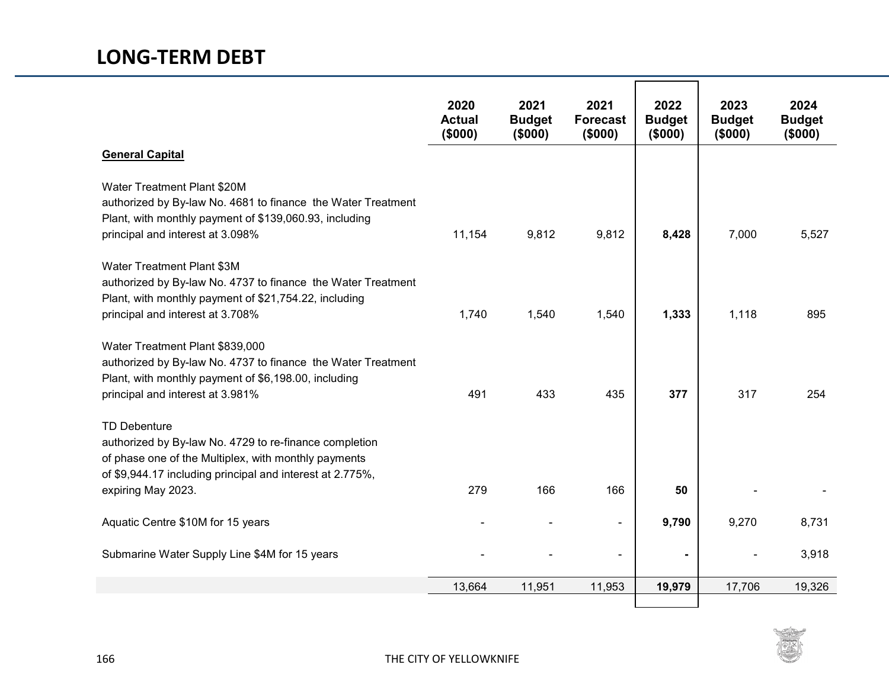|                                                                                                                                                                                                                          | 2020<br><b>Actual</b><br>(\$000) | 2021<br><b>Budget</b><br>(\$000) | 2021<br><b>Forecast</b><br>(\$000) | 2022<br><b>Budget</b><br>(\$000) | 2023<br><b>Budget</b><br>(\$000) | 2024<br><b>Budget</b><br>(\$000) |
|--------------------------------------------------------------------------------------------------------------------------------------------------------------------------------------------------------------------------|----------------------------------|----------------------------------|------------------------------------|----------------------------------|----------------------------------|----------------------------------|
| <b>General Capital</b>                                                                                                                                                                                                   |                                  |                                  |                                    |                                  |                                  |                                  |
| Water Treatment Plant \$20M<br>authorized by By-law No. 4681 to finance the Water Treatment<br>Plant, with monthly payment of \$139,060.93, including<br>principal and interest at 3.098%                                | 11,154                           | 9,812                            | 9,812                              | 8,428                            | 7,000                            | 5,527                            |
| Water Treatment Plant \$3M<br>authorized by By-law No. 4737 to finance the Water Treatment<br>Plant, with monthly payment of \$21,754.22, including<br>principal and interest at 3.708%                                  | 1,740                            | 1,540                            | 1,540                              | 1,333                            | 1,118                            | 895                              |
| Water Treatment Plant \$839,000<br>authorized by By-law No. 4737 to finance the Water Treatment<br>Plant, with monthly payment of \$6,198.00, including<br>principal and interest at 3.981%                              | 491                              | 433                              | 435                                | 377                              | 317                              | 254                              |
| <b>TD Debenture</b><br>authorized by By-law No. 4729 to re-finance completion<br>of phase one of the Multiplex, with monthly payments<br>of \$9,944.17 including principal and interest at 2.775%,<br>expiring May 2023. | 279                              | 166                              | 166                                | 50                               |                                  |                                  |
|                                                                                                                                                                                                                          |                                  |                                  |                                    |                                  |                                  |                                  |
| Aquatic Centre \$10M for 15 years                                                                                                                                                                                        |                                  |                                  | $\blacksquare$                     | 9,790                            | 9,270                            | 8,731                            |
| Submarine Water Supply Line \$4M for 15 years                                                                                                                                                                            |                                  |                                  | $\overline{\phantom{a}}$           |                                  |                                  | 3,918                            |
|                                                                                                                                                                                                                          | 13,664                           | 11,951                           | 11,953                             | 19,979                           | 17,706                           | 19,326                           |

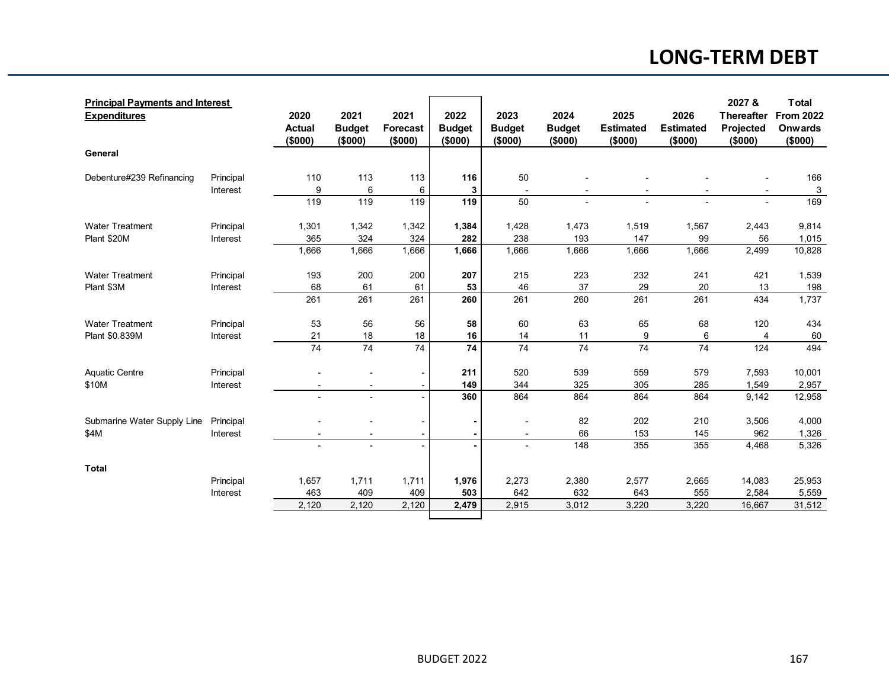## **LONG-TERM DEBT**

| <b>Principal Payments and Interest</b><br><b>Expenditures</b> |           | 2020<br><b>Actual</b><br>(\$000) | 2021<br><b>Budget</b><br>(\$000) | 2021<br><b>Forecast</b><br>(\$000) | 2022<br><b>Budget</b><br>(\$000) | 2023<br><b>Budget</b><br>(\$000) | 2024<br><b>Budget</b><br>(\$000) | 2025<br><b>Estimated</b><br>(\$000) | 2026<br><b>Estimated</b><br>(\$000) | 2027 &<br><b>Thereafter</b><br><b>Projected</b><br>(\$000) | <b>Total</b><br><b>From 2022</b><br><b>Onwards</b><br>(\$000) |
|---------------------------------------------------------------|-----------|----------------------------------|----------------------------------|------------------------------------|----------------------------------|----------------------------------|----------------------------------|-------------------------------------|-------------------------------------|------------------------------------------------------------|---------------------------------------------------------------|
| General                                                       |           |                                  |                                  |                                    |                                  |                                  |                                  |                                     |                                     |                                                            |                                                               |
| Debenture#239 Refinancing                                     | Principal | 110                              | 113                              | 113                                | 116                              | 50                               |                                  |                                     |                                     |                                                            | 166                                                           |
|                                                               | Interest  | 9                                | 6                                | 6                                  | 3                                |                                  |                                  |                                     |                                     |                                                            | $\mathbf{3}$                                                  |
|                                                               |           | 119                              | 119                              | 119                                | 119                              | 50                               |                                  |                                     |                                     |                                                            | 169                                                           |
| <b>Water Treatment</b>                                        | Principal | 1,301                            | 1,342                            | 1,342                              | 1,384                            | 1,428                            | 1,473                            | 1,519                               | 1,567                               | 2,443                                                      | 9,814                                                         |
| Plant \$20M                                                   | Interest  | 365                              | 324                              | 324                                | 282                              | 238                              | 193                              | 147                                 | 99                                  | 56                                                         | 1,015                                                         |
|                                                               |           | 1,666                            | 1,666                            | 1,666                              | 1,666                            | 1,666                            | 1,666                            | 1,666                               | 1,666                               | 2,499                                                      | 10,828                                                        |
| <b>Water Treatment</b>                                        | Principal | 193                              | 200                              | 200                                | 207                              | 215                              | 223                              | 232                                 | 241                                 | 421                                                        | 1,539                                                         |
| Plant \$3M                                                    | Interest  | 68                               | 61                               | 61                                 | 53                               | 46                               | 37                               | 29                                  | 20                                  | 13                                                         | 198                                                           |
|                                                               |           | 261                              | 261                              | 261                                | 260                              | 261                              | 260                              | 261                                 | 261                                 | 434                                                        | 1,737                                                         |
| <b>Water Treatment</b>                                        | Principal | 53                               | 56                               | 56                                 | 58                               | 60                               | 63                               | 65                                  | 68                                  | 120                                                        | 434                                                           |
| Plant \$0.839M                                                | Interest  | 21                               | 18                               | 18                                 | 16                               | 14                               | 11                               | 9                                   | 6                                   | 4                                                          | 60                                                            |
|                                                               |           | $\overline{74}$                  | $\overline{74}$                  | $\overline{74}$                    | $\overline{74}$                  | 74                               | $\overline{74}$                  | $\overline{74}$                     | $\overline{74}$                     | 124                                                        | 494                                                           |
| <b>Aquatic Centre</b>                                         | Principal |                                  |                                  |                                    | 211                              | 520                              | 539                              | 559                                 | 579                                 | 7,593                                                      | 10,001                                                        |
| \$10M                                                         | Interest  |                                  | $\blacksquare$                   |                                    | 149                              | 344                              | 325                              | 305                                 | 285                                 | 1,549                                                      | 2,957                                                         |
|                                                               |           |                                  |                                  |                                    | 360                              | 864                              | 864                              | 864                                 | 864                                 | 9,142                                                      | 12,958                                                        |
| Submarine Water Supply Line                                   | Principal |                                  |                                  |                                    |                                  |                                  | 82                               | 202                                 | 210                                 | 3,506                                                      | 4,000                                                         |
| \$4M                                                          | Interest  |                                  | $\blacksquare$                   |                                    |                                  | $\blacksquare$                   | 66                               | 153                                 | 145                                 | 962                                                        | 1,326                                                         |
|                                                               |           |                                  | $\blacksquare$                   |                                    |                                  |                                  | 148                              | 355                                 | 355                                 | 4,468                                                      | 5,326                                                         |
| <b>Total</b>                                                  |           |                                  |                                  |                                    |                                  |                                  |                                  |                                     |                                     |                                                            |                                                               |
|                                                               | Principal | 1,657                            | 1,711                            | 1,711                              | 1,976                            | 2,273                            | 2,380                            | 2,577                               | 2,665                               | 14,083                                                     | 25,953                                                        |
|                                                               | Interest  | 463                              | 409                              | 409                                | 503                              | 642                              | 632                              | 643                                 | 555                                 | 2,584                                                      | 5,559                                                         |
|                                                               |           | 2,120                            | 2,120                            | 2,120                              | 2,479                            | 2,915                            | 3,012                            | 3,220                               | 3,220                               | 16,667                                                     | 31,512                                                        |